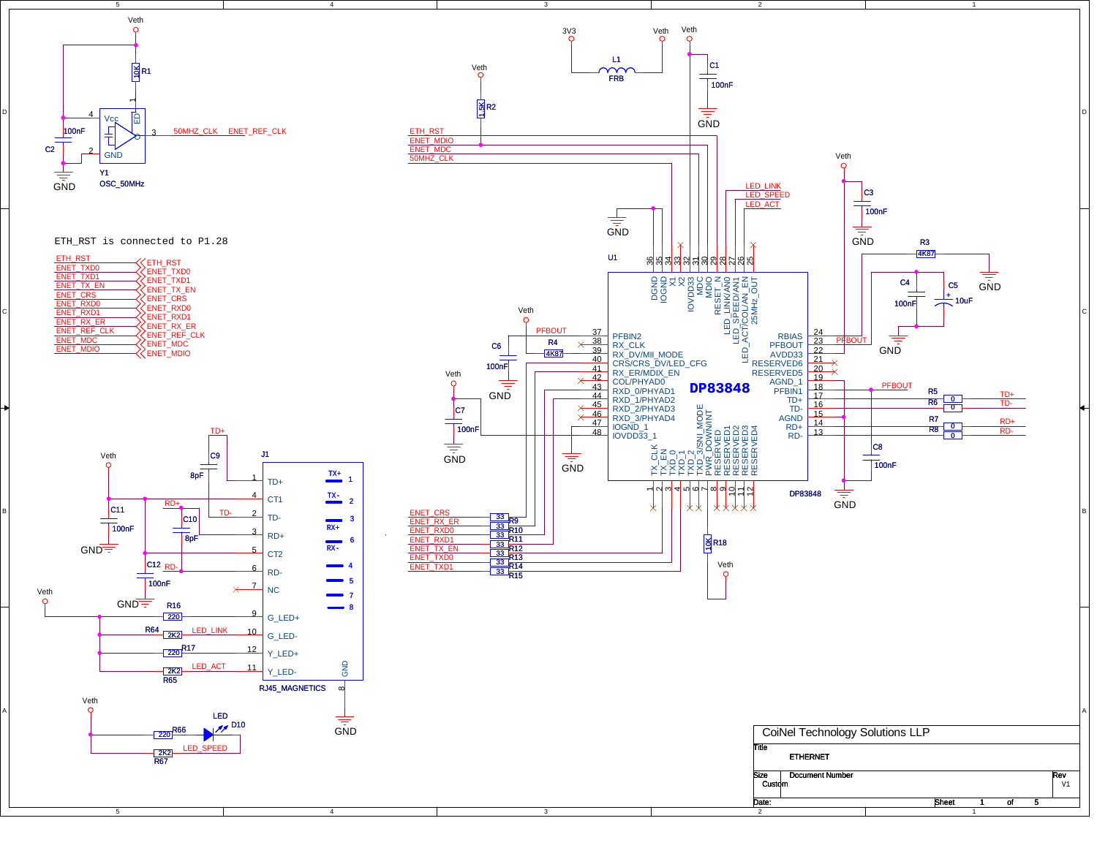

4

ETH\_RST is connected to P1.28

| ETH RST          | ETH_RST          |
|------------------|------------------|
| <b>ENET TXD0</b> | <b>ENET TXDO</b> |
| ENET TXD1        | <b>ENET TXD1</b> |
| ENET TX EN       | ENET TX EN       |
| ENET CRS         | ENET CRS         |
| ENET RXD0        | <b>ENET RXDO</b> |
| <b>ENET RXD1</b> | <b>ENET RXD1</b> |
| ENET RX ER       | ENET RX ER       |
| ENET REF CLK     | ENET REF CLK     |
| <b>ENET MDC</b>  | <b>ENET MDC</b>  |
| ENET MDIO        | <b>ENET MDIO</b> |
|                  |                  |



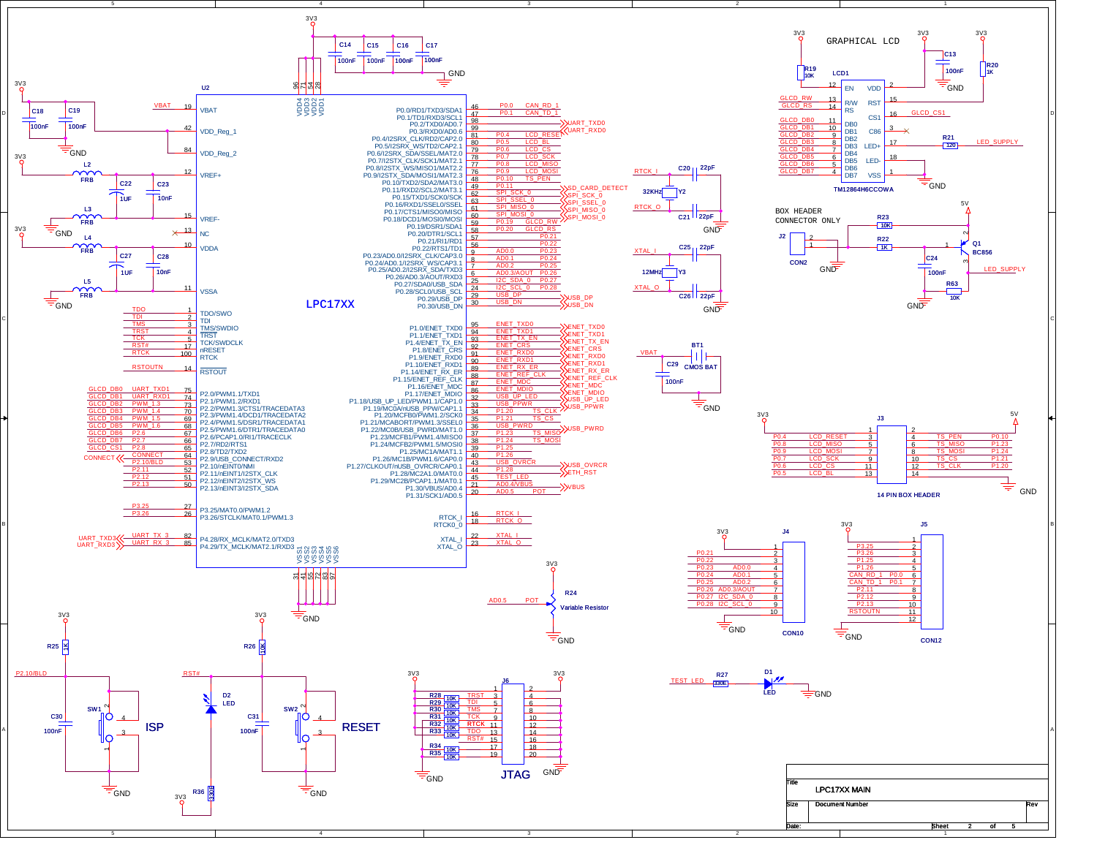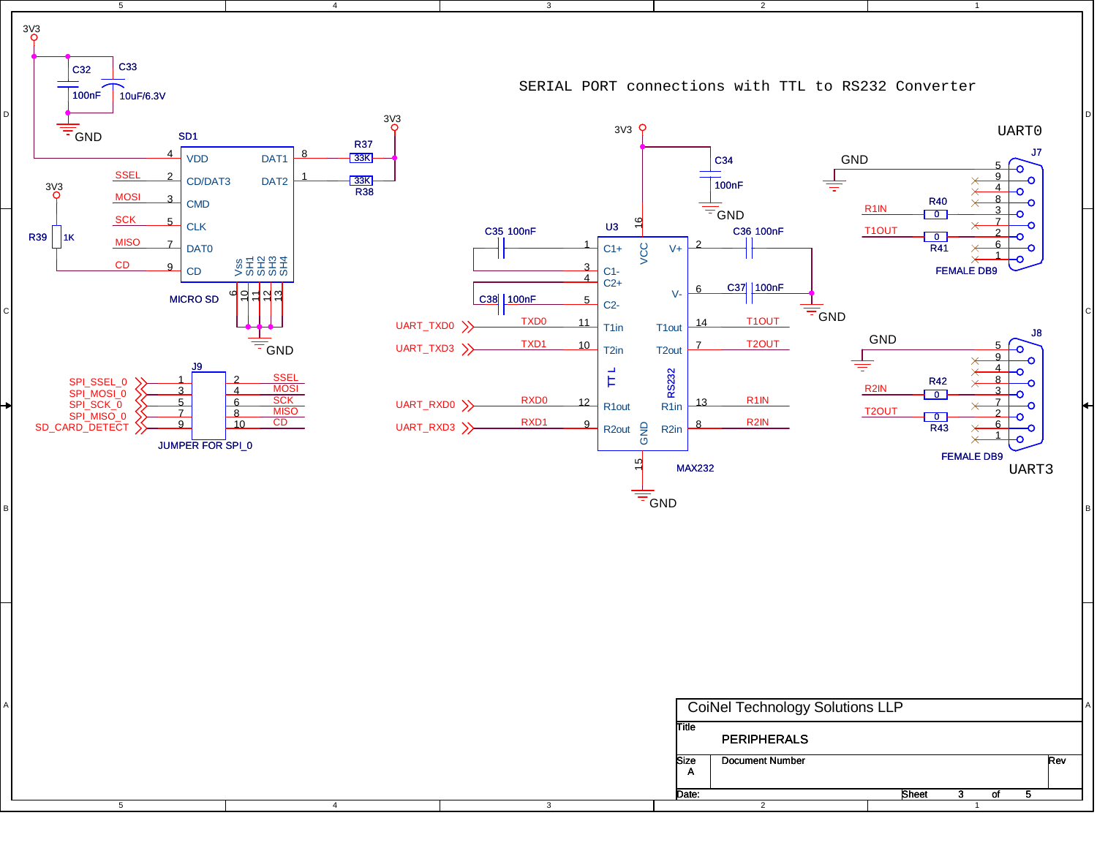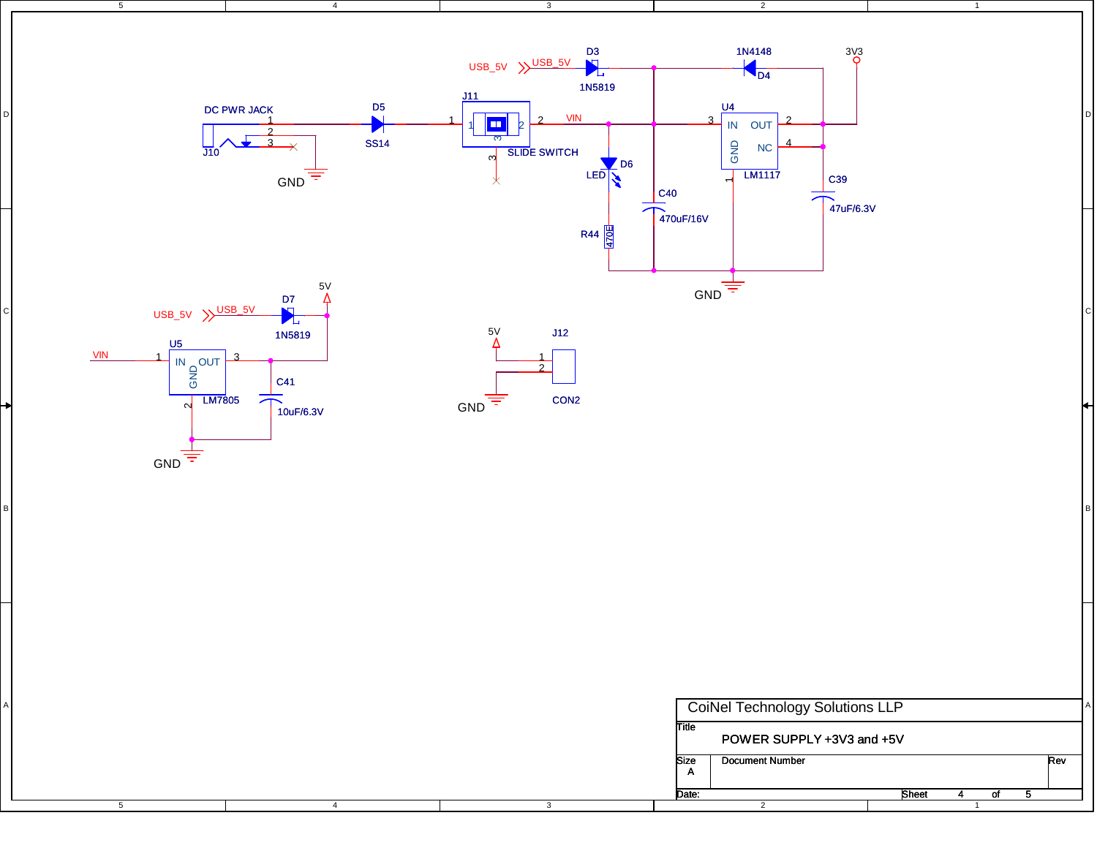